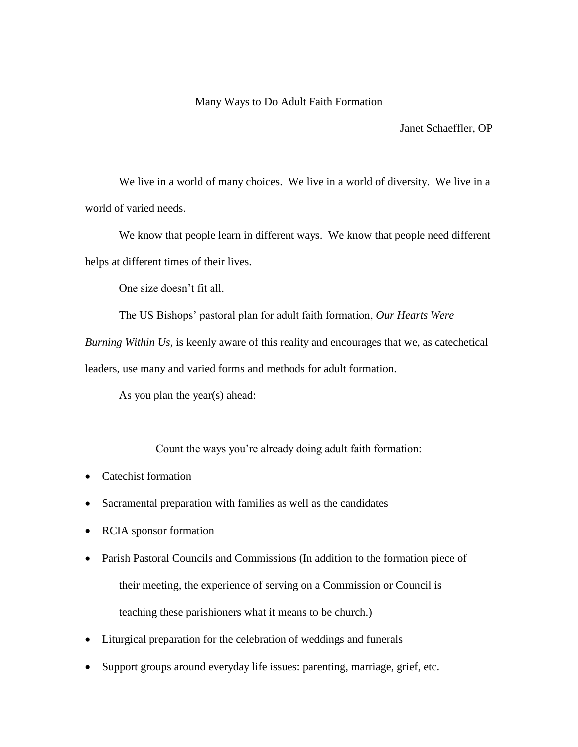## Many Ways to Do Adult Faith Formation

Janet Schaeffler, OP

We live in a world of many choices. We live in a world of diversity. We live in a world of varied needs.

We know that people learn in different ways. We know that people need different helps at different times of their lives.

One size doesn't fit all.

The US Bishops' pastoral plan for adult faith formation, *Our Hearts Were*

*Burning Within Us*, is keenly aware of this reality and encourages that we, as catechetical

leaders, use many and varied forms and methods for adult formation.

As you plan the year(s) ahead:

## Count the ways you're already doing adult faith formation:

- Catechist formation
- Sacramental preparation with families as well as the candidates
- RCIA sponsor formation
- Parish Pastoral Councils and Commissions (In addition to the formation piece of their meeting, the experience of serving on a Commission or Council is teaching these parishioners what it means to be church.)
- Liturgical preparation for the celebration of weddings and funerals
- Support groups around everyday life issues: parenting, marriage, grief, etc.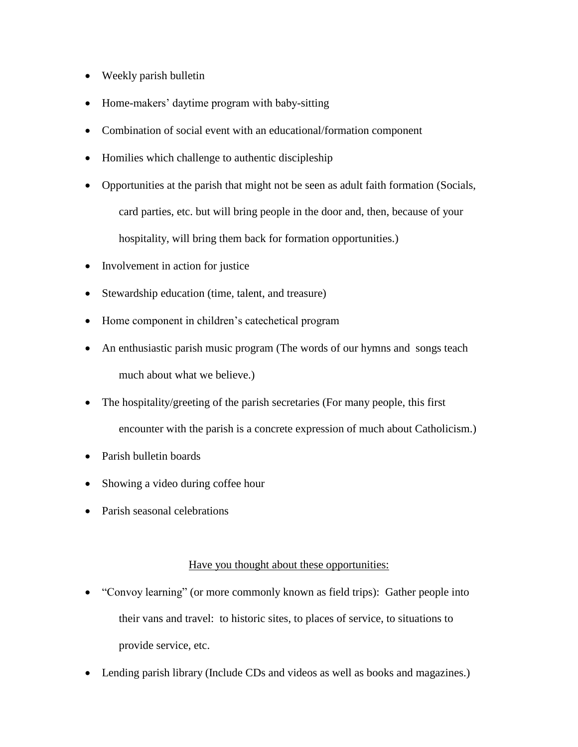- Weekly parish bulletin
- Home-makers' daytime program with baby-sitting
- Combination of social event with an educational/formation component
- Homilies which challenge to authentic discipleship
- Opportunities at the parish that might not be seen as adult faith formation (Socials, card parties, etc. but will bring people in the door and, then, because of your hospitality, will bring them back for formation opportunities.)
- Involvement in action for justice
- Stewardship education (time, talent, and treasure)
- Home component in children's catechetical program
- An enthusiastic parish music program (The words of our hymns and songs teach much about what we believe.)
- The hospitality/greeting of the parish secretaries (For many people, this first encounter with the parish is a concrete expression of much about Catholicism.)
- Parish bulletin boards
- Showing a video during coffee hour
- Parish seasonal celebrations

## Have you thought about these opportunities:

- "Convoy learning" (or more commonly known as field trips): Gather people into their vans and travel: to historic sites, to places of service, to situations to provide service, etc.
- Lending parish library (Include CDs and videos as well as books and magazines.)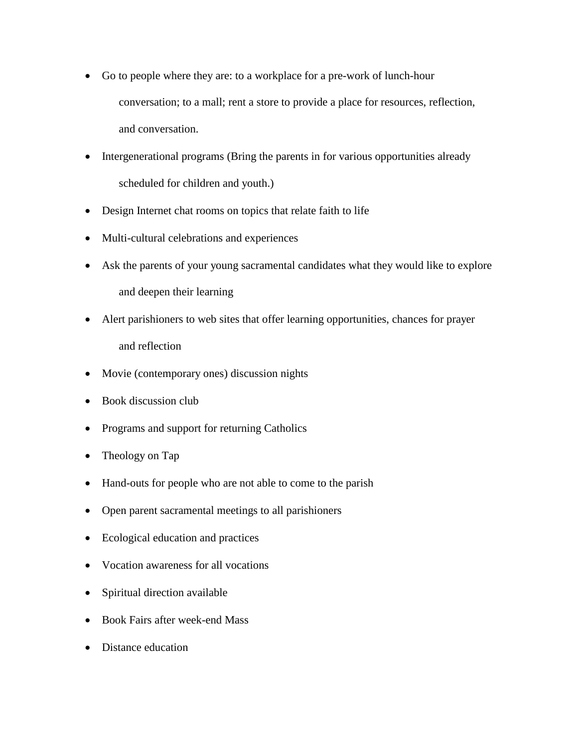- Go to people where they are: to a workplace for a pre-work of lunch-hour conversation; to a mall; rent a store to provide a place for resources, reflection, and conversation.
- Intergenerational programs (Bring the parents in for various opportunities already scheduled for children and youth.)
- Design Internet chat rooms on topics that relate faith to life
- Multi-cultural celebrations and experiences
- Ask the parents of your young sacramental candidates what they would like to explore and deepen their learning
- Alert parishioners to web sites that offer learning opportunities, chances for prayer and reflection
- Movie (contemporary ones) discussion nights
- Book discussion club
- Programs and support for returning Catholics
- Theology on Tap
- Hand-outs for people who are not able to come to the parish
- Open parent sacramental meetings to all parishioners
- Ecological education and practices
- Vocation awareness for all vocations
- Spiritual direction available
- Book Fairs after week-end Mass
- Distance education